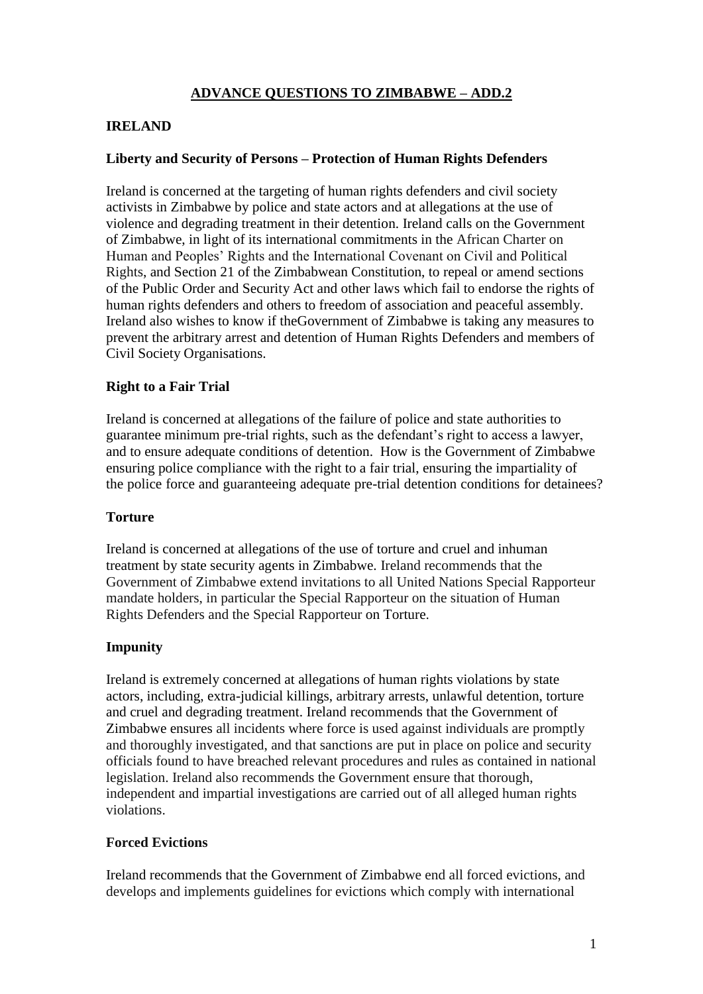# **ADVANCE QUESTIONS TO ZIMBABWE – ADD.2**

## **IRELAND**

## **Liberty and Security of Persons – Protection of Human Rights Defenders**

Ireland is concerned at the targeting of human rights defenders and civil society activists in Zimbabwe by police and state actors and at allegations at the use of violence and degrading treatment in their detention. Ireland calls on the Government of Zimbabwe, in light of its international commitments in the African Charter on Human and Peoples' Rights and the International Covenant on Civil and Political Rights, and Section 21 of the Zimbabwean Constitution, to repeal or amend sections of the Public Order and Security Act and other laws which fail to endorse the rights of human rights defenders and others to freedom of association and peaceful assembly. Ireland also wishes to know if theGovernment of Zimbabwe is taking any measures to prevent the arbitrary arrest and detention of Human Rights Defenders and members of Civil Society Organisations.

### **Right to a Fair Trial**

Ireland is concerned at allegations of the failure of police and state authorities to guarantee minimum pre-trial rights, such as the defendant's right to access a lawyer, and to ensure adequate conditions of detention. How is the Government of Zimbabwe ensuring police compliance with the right to a fair trial, ensuring the impartiality of the police force and guaranteeing adequate pre-trial detention conditions for detainees?

### **Torture**

Ireland is concerned at allegations of the use of torture and cruel and inhuman treatment by state security agents in Zimbabwe. Ireland recommends that the Government of Zimbabwe extend invitations to all United Nations Special Rapporteur mandate holders, in particular the Special Rapporteur on the situation of Human Rights Defenders and the Special Rapporteur on Torture.

### **Impunity**

Ireland is extremely concerned at allegations of human rights violations by state actors, including, extra-judicial killings, arbitrary arrests, unlawful detention, torture and cruel and degrading treatment. Ireland recommends that the Government of Zimbabwe ensures all incidents where force is used against individuals are promptly and thoroughly investigated, and that sanctions are put in place on police and security officials found to have breached relevant procedures and rules as contained in national legislation. Ireland also recommends the Government ensure that thorough, independent and impartial investigations are carried out of all alleged human rights violations.

### **Forced Evictions**

Ireland recommends that the Government of Zimbabwe end all forced evictions, and develops and implements guidelines for evictions which comply with international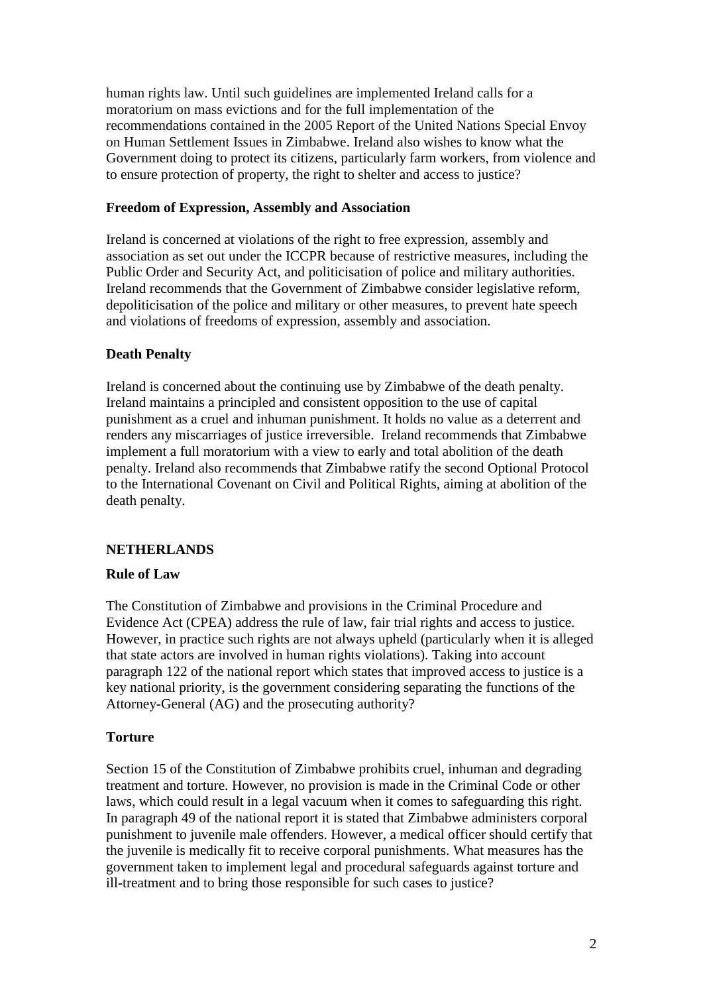human rights law. Until such guidelines are implemented Ireland calls for a moratorium on mass evictions and for the full implementation of the recommendations contained in the 2005 Report of the United Nations Special Envoy on Human Settlement Issues in Zimbabwe. Ireland also wishes to know what the Government doing to protect its citizens, particularly farm workers, from violence and to ensure protection of property, the right to shelter and access to justice?

## **Freedom of Expression, Assembly and Association**

Ireland is concerned at violations of the right to free expression, assembly and association as set out under the ICCPR because of restrictive measures, including the Public Order and Security Act, and politicisation of police and military authorities. Ireland recommends that the Government of Zimbabwe consider legislative reform, depoliticisation of the police and military or other measures, to prevent hate speech and violations of freedoms of expression, assembly and association.

# **Death Penalty**

Ireland is concerned about the continuing use by Zimbabwe of the death penalty. Ireland maintains a principled and consistent opposition to the use of capital punishment as a cruel and inhuman punishment. It holds no value as a deterrent and renders any miscarriages of justice irreversible. Ireland recommends that Zimbabwe implement a full moratorium with a view to early and total abolition of the death penalty. Ireland also recommends that Zimbabwe ratify the second Optional Protocol to the International Covenant on Civil and Political Rights, aiming at abolition of the death penalty.

# **NETHERLANDS**

# **Rule of Law**

The Constitution of Zimbabwe and provisions in the Criminal Procedure and Evidence Act (CPEA) address the rule of law, fair trial rights and access to justice. However, in practice such rights are not always upheld (particularly when it is alleged that state actors are involved in human rights violations). Taking into account paragraph 122 of the national report which states that improved access to justice is a key national priority, is the government considering separating the functions of the Attorney-General (AG) and the prosecuting authority?

# **Torture**

Section 15 of the Constitution of Zimbabwe prohibits cruel, inhuman and degrading treatment and torture. However, no provision is made in the Criminal Code or other laws, which could result in a legal vacuum when it comes to safeguarding this right. In paragraph 49 of the national report it is stated that Zimbabwe administers corporal punishment to juvenile male offenders. However, a medical officer should certify that the juvenile is medically fit to receive corporal punishments. What measures has the government taken to implement legal and procedural safeguards against torture and ill-treatment and to bring those responsible for such cases to justice?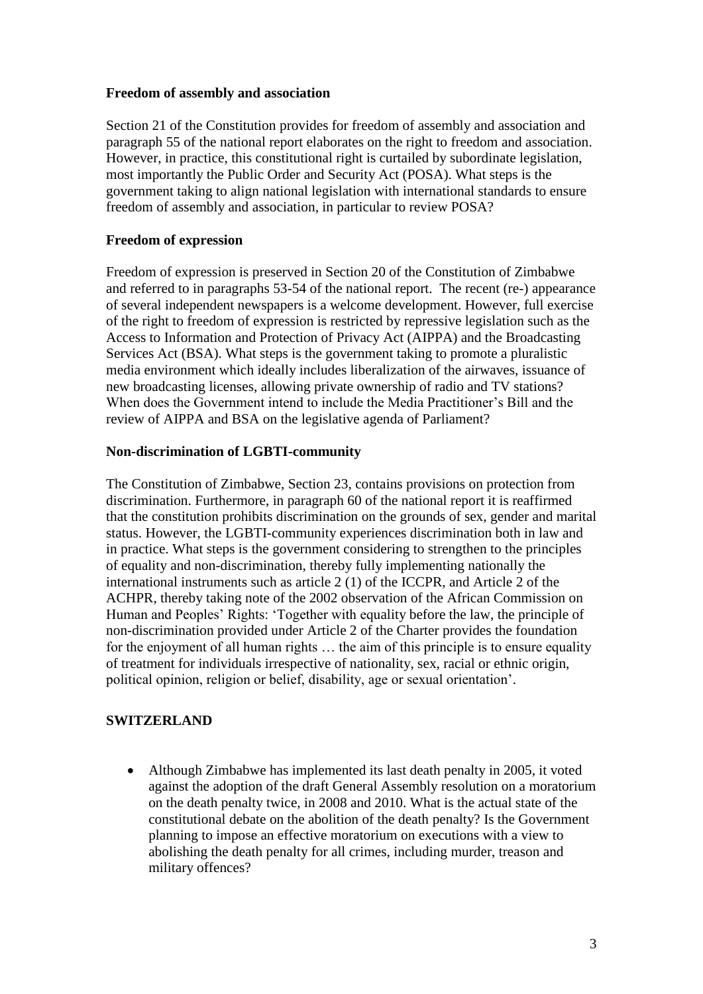## **Freedom of assembly and association**

Section 21 of the Constitution provides for freedom of assembly and association and paragraph 55 of the national report elaborates on the right to freedom and association. However, in practice, this constitutional right is curtailed by subordinate legislation, most importantly the Public Order and Security Act (POSA). What steps is the government taking to align national legislation with international standards to ensure freedom of assembly and association, in particular to review POSA?

# **Freedom of expression**

Freedom of expression is preserved in Section 20 of the Constitution of Zimbabwe and referred to in paragraphs 53-54 of the national report. The recent (re-) appearance of several independent newspapers is a welcome development. However, full exercise of the right to freedom of expression is restricted by repressive legislation such as the Access to Information and Protection of Privacy Act (AIPPA) and the Broadcasting Services Act (BSA). What steps is the government taking to promote a pluralistic media environment which ideally includes liberalization of the airwaves, issuance of new broadcasting licenses, allowing private ownership of radio and TV stations? When does the Government intend to include the Media Practitioner's Bill and the review of AIPPA and BSA on the legislative agenda of Parliament?

## **Non-discrimination of LGBTI-community**

The Constitution of Zimbabwe, Section 23, contains provisions on protection from discrimination. Furthermore, in paragraph 60 of the national report it is reaffirmed that the constitution prohibits discrimination on the grounds of sex, gender and marital status. However, the LGBTI-community experiences discrimination both in law and in practice. What steps is the government considering to strengthen to the principles of equality and non-discrimination, thereby fully implementing nationally the international instruments such as article 2 (1) of the ICCPR, and Article 2 of the ACHPR, thereby taking note of the 2002 observation of the African Commission on Human and Peoples' Rights: 'Together with equality before the law, the principle of non-discrimination provided under Article 2 of the Charter provides the foundation for the enjoyment of all human rights … the aim of this principle is to ensure equality of treatment for individuals irrespective of nationality, sex, racial or ethnic origin, political opinion, religion or belief, disability, age or sexual orientation'.

# **SWITZERLAND**

• Although Zimbabwe has implemented its last death penalty in 2005, it voted against the adoption of the draft General Assembly resolution on a moratorium on the death penalty twice, in 2008 and 2010. What is the actual state of the constitutional debate on the abolition of the death penalty? Is the Government planning to impose an effective moratorium on executions with a view to abolishing the death penalty for all crimes, including murder, treason and military offences?